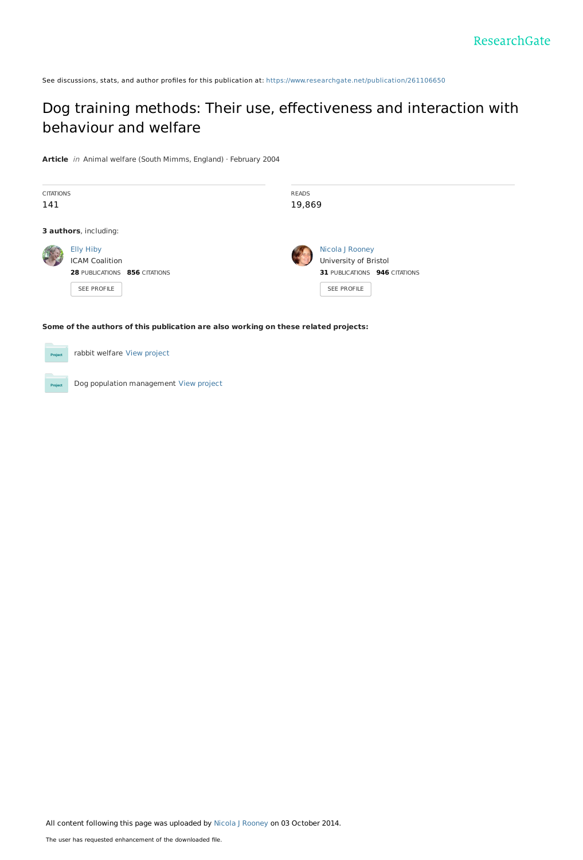See discussions, stats, and author profiles for this publication at: [https://www.researchgate.net/publication/261106650](https://www.researchgate.net/publication/261106650_Dog_training_methods_Their_use_effectiveness_and_interaction_with_behaviour_and_welfare?enrichId=rgreq-cc1da2e82dd0cdd3862a41d46fa928e4-XXX&enrichSource=Y292ZXJQYWdlOzI2MTEwNjY1MDtBUzoxNDgxNjM1Mjg3NjEzNDRAMTQxMjMzNjM0NjI0Mw%3D%3D&el=1_x_2&_esc=publicationCoverPdf)

## Dog training methods: Their use, [effectiveness](https://www.researchgate.net/publication/261106650_Dog_training_methods_Their_use_effectiveness_and_interaction_with_behaviour_and_welfare?enrichId=rgreq-cc1da2e82dd0cdd3862a41d46fa928e4-XXX&enrichSource=Y292ZXJQYWdlOzI2MTEwNjY1MDtBUzoxNDgxNjM1Mjg3NjEzNDRAMTQxMjMzNjM0NjI0Mw%3D%3D&el=1_x_3&_esc=publicationCoverPdf) and interaction with behaviour and welfare

**Article** in Animal welfare (South Mimms, England) · February 2004

| <b>CITATIONS</b><br>141 |                                                                                    |  | <b>READS</b> | 19,869                                                                                   |  |  |
|-------------------------|------------------------------------------------------------------------------------|--|--------------|------------------------------------------------------------------------------------------|--|--|
|                         | 3 authors, including:                                                              |  |              |                                                                                          |  |  |
|                         | Elly Hiby<br><b>ICAM Coalition</b><br>28 PUBLICATIONS 856 CITATIONS<br>SEE PROFILE |  |              | Nicola J Rooney<br>University of Bristol<br>31 PUBLICATIONS 946 CITATIONS<br>SEE PROFILE |  |  |

#### **Some of the authors of this publication are also working on these related projects:**

| <b>Project</b> | rabbit welfare View project |
|----------------|-----------------------------|
|                |                             |

Dog population management View [project](https://www.researchgate.net/project/Dog-population-management?enrichId=rgreq-cc1da2e82dd0cdd3862a41d46fa928e4-XXX&enrichSource=Y292ZXJQYWdlOzI2MTEwNjY1MDtBUzoxNDgxNjM1Mjg3NjEzNDRAMTQxMjMzNjM0NjI0Mw%3D%3D&el=1_x_9&_esc=publicationCoverPdf)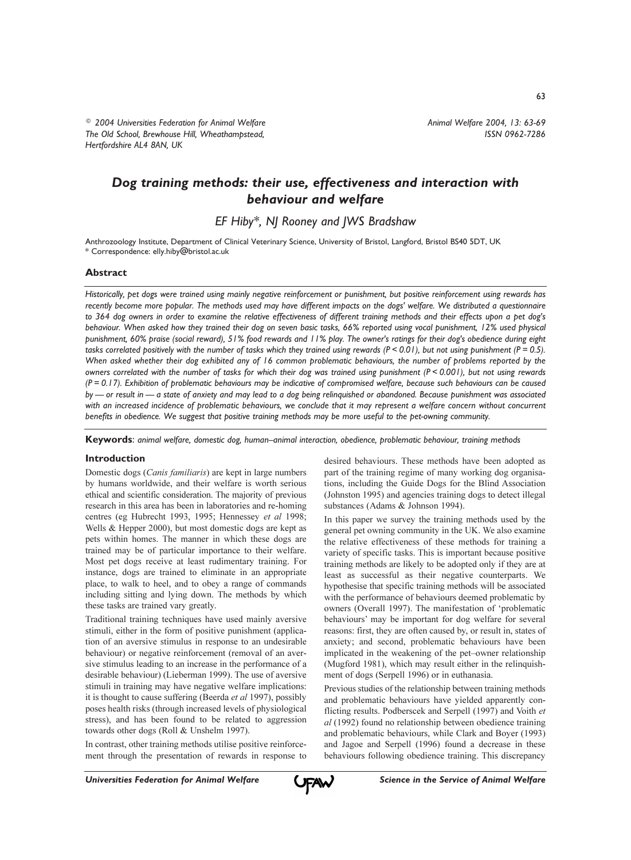<sup>©</sup> 2004 Universities Federation for Animal Welfare The Old School, Brewhouse Hill, Wheathampstead, Hertfordshire AL4 8AN, UK

63

# Dog training methods: their use, effectiveness and interaction with behaviour and welfare

EF Hiby\*, NJ Rooney and JWS Bradshaw

Anthrozoology Institute, Department of Clinical Veterinary Science, University of Bristol, Langford, Bristol BS40 5DT, UK \* Correspondence: elly.hiby@bristol.ac.uk

## **Abstract**

Historically, pet dogs were trained using mainly negative reinforcement or punishment, but positive reinforcement using rewards has recently become more popular. The methods used may have different impacts on the dogs' welfare. We distributed a questionnaire to 364 dog owners in order to examine the relative effectiveness of different training methods and their effects upon a pet dog's behaviour. When asked how they trained their dog on seven basic tasks, 66% reported using vocal punishment, 12% used physical punishment, 60% praise (social reward), 51% food rewards and 11% play. The owner's ratings for their dog's obedience during eight tasks correlated positively with the number of tasks which they trained using rewards ( $P < 0.01$ ), but not using punishment ( $P = 0.5$ ). When asked whether their dog exhibited any of 16 common problematic behaviours, the number of problems reported by the owners correlated with the number of tasks for which their dog was trained using punishment ( $P < 0.001$ ), but not using rewards  $(P = 0.17)$ . Exhibition of problematic behaviours may be indicative of compromised welfare, because such behaviours can be caused by — or result in — a state of anxiety and may lead to a dog being relinquished or abandoned. Because punishment was associated with an increased incidence of problematic behaviours, we conclude that it may represent a welfare concern without concurrent benefits in obedience. We suggest that positive training methods may be more useful to the pet-owning community.

Keywords: animal welfare, domestic dog, human-animal interaction, obedience, problematic behaviour, training methods

### **Introduction**

Domestic dogs (Canis familiaris) are kept in large numbers by humans worldwide, and their welfare is worth serious ethical and scientific consideration. The majority of previous research in this area has been in laboratories and re-homing centres (eg Hubrecht 1993, 1995; Hennessey et al 1998; Wells & Hepper 2000), but most domestic dogs are kept as pets within homes. The manner in which these dogs are trained may be of particular importance to their welfare. Most pet dogs receive at least rudimentary training. For instance, dogs are trained to eliminate in an appropriate place, to walk to heel, and to obey a range of commands including sitting and lying down. The methods by which these tasks are trained vary greatly.

Traditional training techniques have used mainly aversive stimuli, either in the form of positive punishment (application of an aversive stimulus in response to an undesirable behaviour) or negative reinforcement (removal of an aversive stimulus leading to an increase in the performance of a desirable behaviour) (Lieberman 1999). The use of aversive stimuli in training may have negative welfare implications: it is thought to cause suffering (Beerda et al 1997), possibly poses health risks (through increased levels of physiological stress), and has been found to be related to aggression towards other dogs (Roll & Unshelm 1997).

In contrast, other training methods utilise positive reinforcement through the presentation of rewards in response to desired behaviours. These methods have been adopted as part of the training regime of many working dog organisations, including the Guide Dogs for the Blind Association (Johnston 1995) and agencies training dogs to detect illegal substances (Adams & Johnson 1994).

In this paper we survey the training methods used by the general pet owning community in the UK. We also examine the relative effectiveness of these methods for training a variety of specific tasks. This is important because positive training methods are likely to be adopted only if they are at least as successful as their negative counterparts. We hypothesise that specific training methods will be associated with the performance of behaviours deemed problematic by owners (Overall 1997). The manifestation of 'problematic behaviours' may be important for dog welfare for several reasons: first, they are often caused by, or result in, states of anxiety; and second, problematic behaviours have been implicated in the weakening of the pet-owner relationship (Mugford 1981), which may result either in the relinquishment of dogs (Serpell 1996) or in euthanasia.

Previous studies of the relationship between training methods and problematic behaviours have yielded apparently conflicting results. Podberscek and Serpell (1997) and Voith et al (1992) found no relationship between obedience training and problematic behaviours, while Clark and Boyer (1993) and Jagoe and Serpell (1996) found a decrease in these behaviours following obedience training. This discrepancy

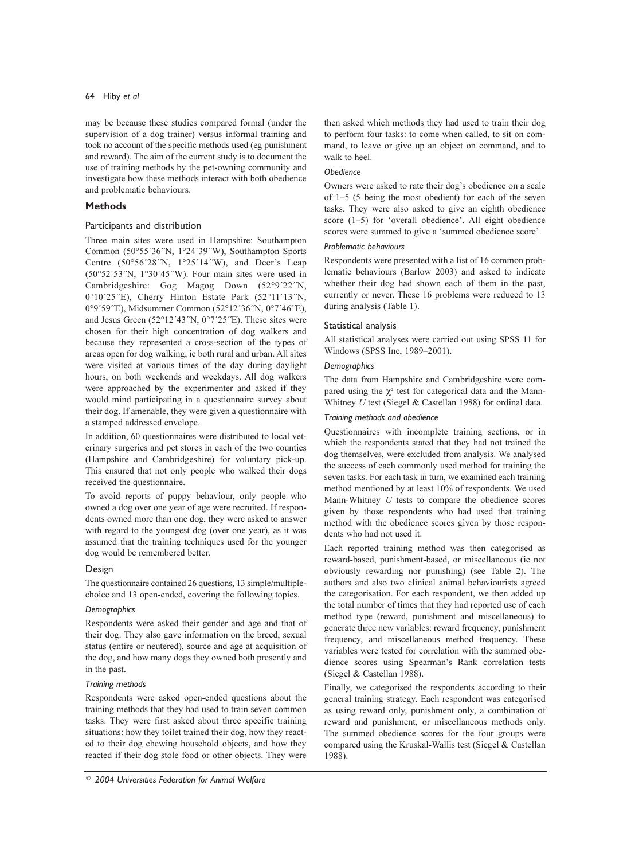may be because these studies compared formal (under the supervision of a dog trainer) versus informal training and took no account of the specific methods used (eg punishment and reward). The aim of the current study is to document the use of training methods by the pet-owning community and investigate how these methods interact with both obedience and problematic behaviours.

### **Methods**

### Participants and distribution

Three main sites were used in Hampshire: Southampton Common (50°55'36'N, 1°24'39'W), Southampton Sports Centre (50°56'28'N, 1°25'14'W), and Deer's Leap  $(50°52'53'N, 1°30'45'W)$ . Four main sites were used in Cambridgeshire: Gog Magog Down (52°9'22"N, 0°10'25'E), Cherry Hinton Estate Park (52°11'13'N, 0°9'59'E), Midsummer Common (52°12'36'N, 0°7'46'E), and Jesus Green (52°12'43'N, 0°7'25'E). These sites were chosen for their high concentration of dog walkers and because they represented a cross-section of the types of areas open for dog walking, ie both rural and urban. All sites were visited at various times of the day during daylight hours, on both weekends and weekdays. All dog walkers were approached by the experimenter and asked if they would mind participating in a questionnaire survey about their dog. If amenable, they were given a questionnaire with a stamped addressed envelope.

In addition, 60 questionnaires were distributed to local veterinary surgeries and pet stores in each of the two counties (Hampshire and Cambridgeshire) for voluntary pick-up. This ensured that not only people who walked their dogs received the questionnaire.

To avoid reports of puppy behaviour, only people who owned a dog over one year of age were recruited. If respondents owned more than one dog, they were asked to answer with regard to the youngest dog (over one year), as it was assumed that the training techniques used for the younger dog would be remembered better.

### Design

The questionnaire contained 26 questions, 13 simple/multiplechoice and 13 open-ended, covering the following topics.

### Demographics

Respondents were asked their gender and age and that of their dog. They also gave information on the breed, sexual status (entire or neutered), source and age at acquisition of the dog, and how many dogs they owned both presently and in the past.

### Training methods

Respondents were asked open-ended questions about the training methods that they had used to train seven common tasks. They were first asked about three specific training situations: how they toilet trained their dog, how they reacted to their dog chewing household objects, and how they reacted if their dog stole food or other objects. They were

then asked which methods they had used to train their dog to perform four tasks: to come when called, to sit on command, to leave or give up an object on command, and to walk to heel.

### **Obedience**

Owners were asked to rate their dog's obedience on a scale of  $1-5$  (5 being the most obedient) for each of the seven tasks. They were also asked to give an eighth obedience score (1-5) for 'overall obedience'. All eight obedience scores were summed to give a 'summed obedience score'.

### Problematic behaviours

Respondents were presented with a list of 16 common problematic behaviours (Barlow 2003) and asked to indicate whether their dog had shown each of them in the past, currently or never. These 16 problems were reduced to 13 during analysis (Table 1).

### Statistical analysis

All statistical analyses were carried out using SPSS 11 for Windows (SPSS Inc, 1989-2001).

### Demographics

The data from Hampshire and Cambridgeshire were compared using the  $\gamma^2$  test for categorical data and the Mann-Whitney  $U$  test (Siegel & Castellan 1988) for ordinal data.

### Training methods and obedience

Questionnaires with incomplete training sections, or in which the respondents stated that they had not trained the dog themselves, were excluded from analysis. We analysed the success of each commonly used method for training the seven tasks. For each task in turn, we examined each training method mentioned by at least 10% of respondents. We used Mann-Whitney U tests to compare the obedience scores given by those respondents who had used that training method with the obedience scores given by those respondents who had not used it.

Each reported training method was then categorised as reward-based, punishment-based, or miscellaneous (ie not obviously rewarding nor punishing) (see Table 2). The authors and also two clinical animal behaviourists agreed the categorisation. For each respondent, we then added up the total number of times that they had reported use of each method type (reward, punishment and miscellaneous) to generate three new variables: reward frequency, punishment frequency, and miscellaneous method frequency. These variables were tested for correlation with the summed obedience scores using Spearman's Rank correlation tests (Siegel & Castellan 1988).

Finally, we categorised the respondents according to their general training strategy. Each respondent was categorised as using reward only, punishment only, a combination of reward and punishment, or miscellaneous methods only. The summed obedience scores for the four groups were compared using the Kruskal-Wallis test (Siegel & Castellan 1988).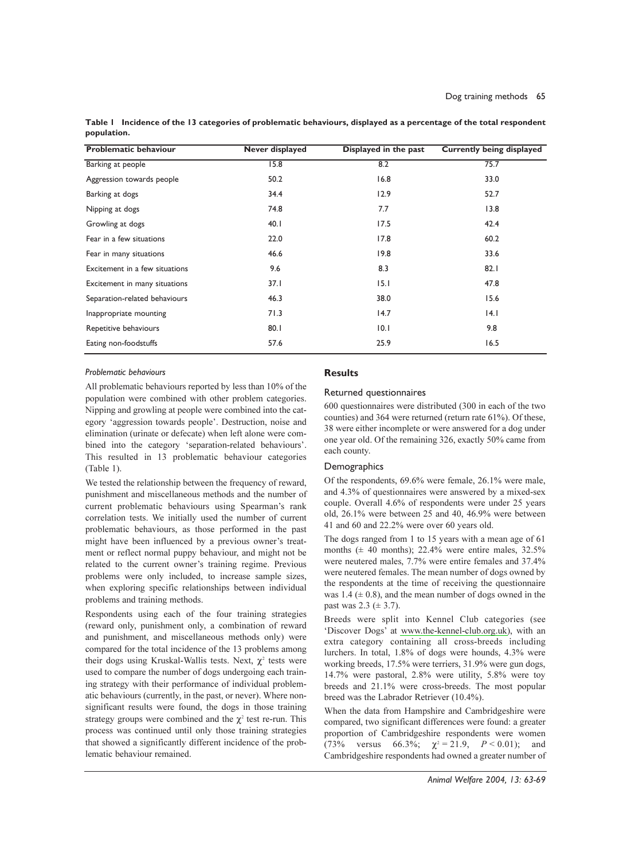| <b>Problematic behaviour</b>   | <b>Never displayed</b> | Displayed in the past | <b>Currently being displayed</b> |
|--------------------------------|------------------------|-----------------------|----------------------------------|
| Barking at people              | 15.8                   | 8.2                   | 75.7                             |
| Aggression towards people      | 50.2                   | 16.8                  | 33.0                             |
| Barking at dogs                | 34.4                   | 12.9                  | 52.7                             |
| Nipping at dogs                | 74.8                   | 7.7                   | 13.8                             |
| Growling at dogs               | 40.1                   | 17.5                  | 42.4                             |
| Fear in a few situations       | 22.0                   | 17.8                  | 60.2                             |
| Fear in many situations        | 46.6                   | 19.8                  | 33.6                             |
| Excitement in a few situations | 9.6                    | 8.3                   | 82.1                             |
| Excitement in many situations  | 37.1                   | 15.1                  | 47.8                             |
| Separation-related behaviours  | 46.3                   | 38.0                  | 15.6                             |
| Inappropriate mounting         | 71.3                   | 14.7                  | 4.                               |
| Repetitive behaviours          | 80.1                   | 10.1                  | 9.8                              |
| Eating non-foodstuffs          | 57.6                   | 25.9                  | 16.5                             |

Table | Incidence of the 13 categories of problematic behaviours, displayed as a percentage of the total respondent population.

### Problematic behaviours

All problematic behaviours reported by less than 10% of the population were combined with other problem categories. Nipping and growling at people were combined into the category 'aggression towards people'. Destruction, noise and elimination (urinate or defecate) when left alone were combined into the category 'separation-related behaviours'. This resulted in 13 problematic behaviour categories  $(Table 1).$ 

We tested the relationship between the frequency of reward, punishment and miscellaneous methods and the number of current problematic behaviours using Spearman's rank correlation tests. We initially used the number of current problematic behaviours, as those performed in the past might have been influenced by a previous owner's treatment or reflect normal puppy behaviour, and might not be related to the current owner's training regime. Previous problems were only included, to increase sample sizes, when exploring specific relationships between individual problems and training methods.

Respondents using each of the four training strategies (reward only, punishment only, a combination of reward and punishment, and miscellaneous methods only) were compared for the total incidence of the 13 problems among their dogs using Kruskal-Wallis tests. Next,  $\chi^2$  tests were used to compare the number of dogs undergoing each training strategy with their performance of individual problematic behaviours (currently, in the past, or never). Where nonsignificant results were found, the dogs in those training strategy groups were combined and the  $\chi^2$  test re-run. This process was continued until only those training strategies that showed a significantly different incidence of the problematic behaviour remained.

### **Results**

### Returned questionnaires

600 questionnaires were distributed (300 in each of the two counties) and 364 were returned (return rate 61%). Of these, 38 were either incomplete or were answered for a dog under one year old. Of the remaining 326, exactly 50% came from each county.

### Demographics

Of the respondents, 69.6% were female, 26.1% were male, and 4.3% of questionnaires were answered by a mixed-sex couple. Overall 4.6% of respondents were under 25 years old, 26.1% were between 25 and 40, 46.9% were between 41 and 60 and 22.2% were over 60 years old.

The dogs ranged from 1 to 15 years with a mean age of 61 months  $(\pm 40 \text{ months})$ ; 22.4% were entire males, 32.5% were neutered males, 7.7% were entire females and 37.4% were neutered females. The mean number of dogs owned by the respondents at the time of receiving the questionnaire was 1.4 ( $\pm$  0.8), and the mean number of dogs owned in the past was  $2.3 \ (\pm 3.7)$ .

Breeds were split into Kennel Club categories (see 'Discover Dogs' at www.the-kennel-club.org.uk), with an extra category containing all cross-breeds including lurchers. In total, 1.8% of dogs were hounds, 4.3% were working breeds, 17.5% were terriers, 31.9% were gun dogs, 14.7% were pastoral, 2.8% were utility, 5.8% were toy breeds and 21.1% were cross-breeds. The most popular breed was the Labrador Retriever (10.4%).

When the data from Hampshire and Cambridgeshire were compared, two significant differences were found: a greater proportion of Cambridgeshire respondents were women versus 66.3%;  $\chi^2 = 21.9$ ,  $P < 0.01$ );  $(73%$ and Cambridgeshire respondents had owned a greater number of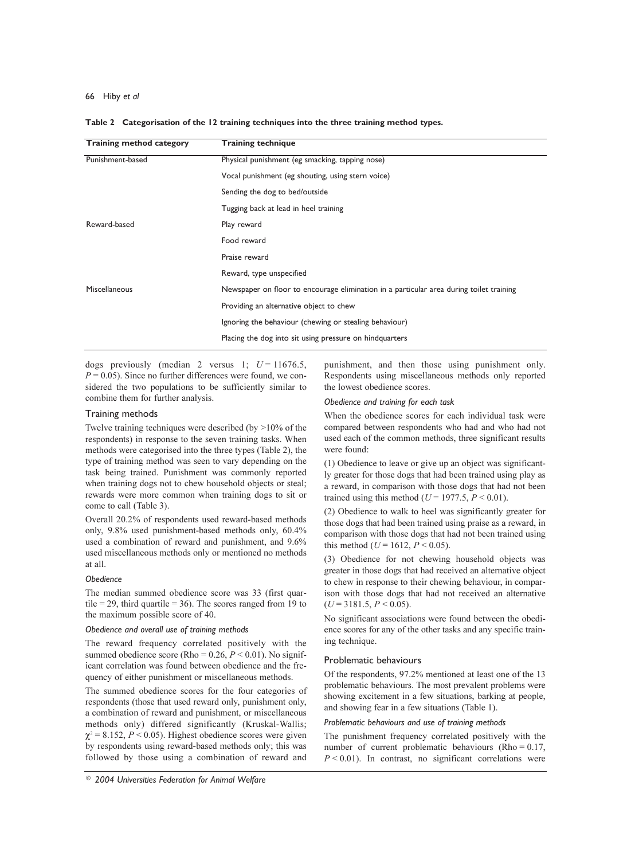| <b>Training method category</b> | <b>Training technique</b>                                                               |  |  |
|---------------------------------|-----------------------------------------------------------------------------------------|--|--|
| Punishment-based                | Physical punishment (eg smacking, tapping nose)                                         |  |  |
|                                 | Vocal punishment (eg shouting, using stern voice)                                       |  |  |
|                                 | Sending the dog to bed/outside                                                          |  |  |
|                                 | Tugging back at lead in heel training                                                   |  |  |
| Reward-based                    | Play reward                                                                             |  |  |
|                                 | Food reward                                                                             |  |  |
|                                 | Praise reward                                                                           |  |  |
|                                 | Reward, type unspecified                                                                |  |  |
| Miscellaneous                   | Newspaper on floor to encourage elimination in a particular area during toilet training |  |  |
|                                 | Providing an alternative object to chew                                                 |  |  |
|                                 | Ignoring the behaviour (chewing or stealing behaviour)                                  |  |  |
|                                 | Placing the dog into sit using pressure on hindquarters                                 |  |  |
|                                 |                                                                                         |  |  |

#### Table 2 Categorisation of the 12 training techniques into the three training method types.

dogs previously (median 2 versus 1;  $U = 11676.5$ ,  $P = 0.05$ ). Since no further differences were found, we considered the two populations to be sufficiently similar to combine them for further analysis.

### Training methods

Twelve training techniques were described (by  $>10\%$  of the respondents) in response to the seven training tasks. When methods were categorised into the three types (Table 2), the type of training method was seen to vary depending on the task being trained. Punishment was commonly reported when training dogs not to chew household objects or steal; rewards were more common when training dogs to sit or come to call (Table 3).

Overall 20.2% of respondents used reward-based methods only, 9.8% used punishment-based methods only, 60.4% used a combination of reward and punishment, and 9.6% used miscellaneous methods only or mentioned no methods at all.

### **Obedience**

The median summed obedience score was 33 (first quartile = 29, third quartile = 36). The scores ranged from 19 to the maximum possible score of 40.

### Obedience and overall use of training methods

The reward frequency correlated positively with the summed obedience score (Rho = 0.26,  $P < 0.01$ ). No significant correlation was found between obedience and the frequency of either punishment or miscellaneous methods.

The summed obedience scores for the four categories of respondents (those that used reward only, punishment only, a combination of reward and punishment, or miscellaneous methods only) differed significantly (Kruskal-Wallis;  $\chi^2$  = 8.152, P < 0.05). Highest obedience scores were given by respondents using reward-based methods only; this was followed by those using a combination of reward and

punishment, and then those using punishment only. Respondents using miscellaneous methods only reported the lowest obedience scores.

### Obedience and training for each task

When the obedience scores for each individual task were compared between respondents who had and who had not used each of the common methods, three significant results were found:

(1) Obedience to leave or give up an object was significantly greater for those dogs that had been trained using play as a reward, in comparison with those dogs that had not been trained using this method ( $U = 1977.5$ ,  $P < 0.01$ ).

(2) Obedience to walk to heel was significantly greater for those dogs that had been trained using praise as a reward, in comparison with those dogs that had not been trained using this method ( $U = 1612$ ,  $P < 0.05$ ).

(3) Obedience for not chewing household objects was greater in those dogs that had received an alternative object to chew in response to their chewing behaviour, in comparison with those dogs that had not received an alternative  $(U = 3181.5, P \le 0.05)$ .

No significant associations were found between the obedience scores for any of the other tasks and any specific training technique.

### Problematic behaviours

Of the respondents, 97.2% mentioned at least one of the 13 problematic behaviours. The most prevalent problems were showing excitement in a few situations, barking at people, and showing fear in a few situations (Table 1).

### Problematic behaviours and use of training methods

The punishment frequency correlated positively with the number of current problematic behaviours (Rho =  $0.17$ ,  $P < 0.01$ ). In contrast, no significant correlations were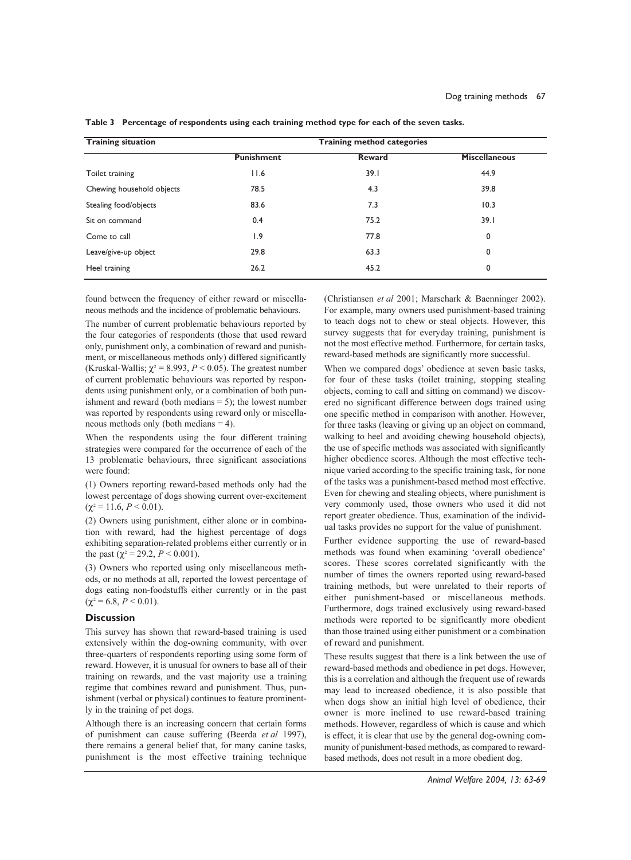| <b>Training situation</b> | <b>Training method categories</b> |        |                      |  |
|---------------------------|-----------------------------------|--------|----------------------|--|
|                           | <b>Punishment</b>                 | Reward | <b>Miscellaneous</b> |  |
| Toilet training           | 11.6                              | 39.1   | 44.9                 |  |
| Chewing household objects | 78.5                              | 4.3    | 39.8                 |  |
| Stealing food/objects     | 83.6                              | 7.3    | 10.3                 |  |
| Sit on command            | 0.4                               | 75.2   | 39.1                 |  |
| Come to call              | $\overline{1.9}$                  | 77.8   | 0                    |  |
| Leave/give-up object      | 29.8                              | 63.3   | 0                    |  |
| Heel training             | 26.2                              | 45.2   | 0                    |  |

Table 3 Percentage of respondents using each training method type for each of the seven tasks.

found between the frequency of either reward or miscellaneous methods and the incidence of problematic behaviours.

The number of current problematic behaviours reported by the four categories of respondents (those that used reward only, punishment only, a combination of reward and punishment, or miscellaneous methods only) differed significantly (Kruskal-Wallis;  $\chi^2$  = 8.993, *P* < 0.05). The greatest number of current problematic behaviours was reported by respondents using punishment only, or a combination of both punishment and reward (both medians  $= 5$ ); the lowest number was reported by respondents using reward only or miscellaneous methods only (both medians  $=$  4).

When the respondents using the four different training strategies were compared for the occurrence of each of the 13 problematic behaviours, three significant associations were found:

(1) Owners reporting reward-based methods only had the lowest percentage of dogs showing current over-excitement  $(\gamma^2 = 11.6, P \le 0.01).$ 

(2) Owners using punishment, either alone or in combination with reward, had the highest percentage of dogs exhibiting separation-related problems either currently or in the past ( $\chi^2$  = 29.2, *P* < 0.001).

(3) Owners who reported using only miscellaneous methods, or no methods at all, reported the lowest percentage of dogs eating non-foodstuffs either currently or in the past  $(\chi^2 = 6.8, P < 0.01).$ 

### **Discussion**

This survey has shown that reward-based training is used extensively within the dog-owning community, with over three-quarters of respondents reporting using some form of reward. However, it is unusual for owners to base all of their training on rewards, and the vast majority use a training regime that combines reward and punishment. Thus, punishment (verbal or physical) continues to feature prominently in the training of pet dogs.

Although there is an increasing concern that certain forms of punishment can cause suffering (Beerda et al 1997), there remains a general belief that, for many canine tasks, punishment is the most effective training technique (Christiansen et al 2001: Marschark & Baenninger 2002). For example, many owners used punishment-based training to teach dogs not to chew or steal objects. However, this survey suggests that for everyday training, punishment is not the most effective method. Furthermore, for certain tasks, reward-based methods are significantly more successful.

When we compared dogs' obedience at seven basic tasks, for four of these tasks (toilet training, stopping stealing objects, coming to call and sitting on command) we discovered no significant difference between dogs trained using one specific method in comparison with another. However, for three tasks (leaving or giving up an object on command, walking to heel and avoiding chewing household objects), the use of specific methods was associated with significantly higher obedience scores. Although the most effective technique varied according to the specific training task, for none of the tasks was a punishment-based method most effective. Even for chewing and stealing objects, where punishment is very commonly used, those owners who used it did not report greater obedience. Thus, examination of the individual tasks provides no support for the value of punishment.

Further evidence supporting the use of reward-based methods was found when examining 'overall obedience' scores. These scores correlated significantly with the number of times the owners reported using reward-based training methods, but were unrelated to their reports of either punishment-based or miscellaneous methods. Furthermore, dogs trained exclusively using reward-based methods were reported to be significantly more obedient than those trained using either punishment or a combination of reward and punishment.

These results suggest that there is a link between the use of reward-based methods and obedience in pet dogs. However, this is a correlation and although the frequent use of rewards may lead to increased obedience, it is also possible that when dogs show an initial high level of obedience, their owner is more inclined to use reward-based training methods. However, regardless of which is cause and which is effect, it is clear that use by the general dog-owning community of punishment-based methods, as compared to rewardbased methods, does not result in a more obedient dog.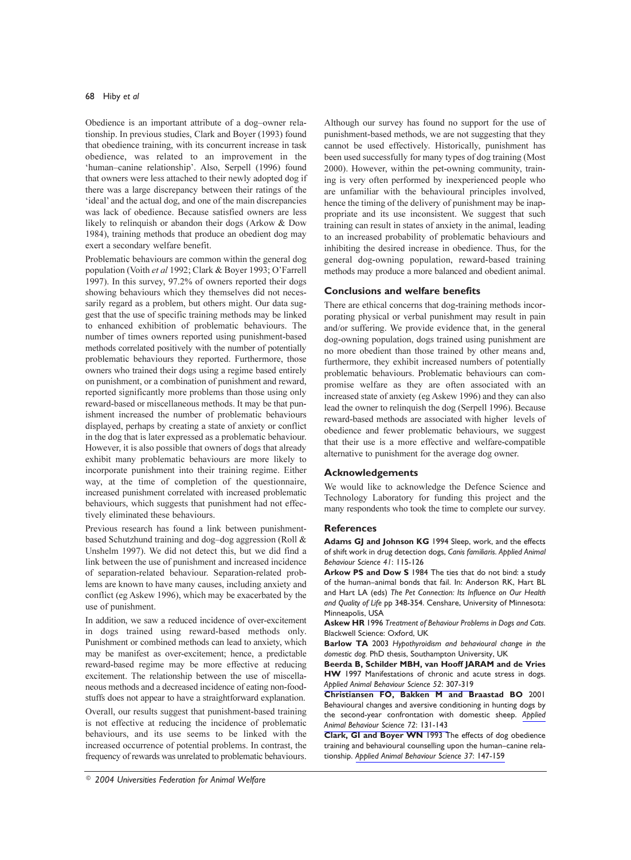Obedience is an important attribute of a dog-owner relationship. In previous studies, Clark and Boyer (1993) found that obedience training, with its concurrent increase in task obedience, was related to an improvement in the 'human-canine relationship'. Also, Serpell (1996) found that owners were less attached to their newly adopted dog if there was a large discrepancy between their ratings of the 'ideal' and the actual dog, and one of the main discrepancies was lack of obedience. Because satisfied owners are less likely to relinquish or abandon their dogs (Arkow & Dow 1984), training methods that produce an obedient dog may exert a secondary welfare benefit.

Problematic behaviours are common within the general dog population (Voith et al 1992; Clark & Boyer 1993; O'Farrell 1997). In this survey, 97.2% of owners reported their dogs showing behaviours which they themselves did not necessarily regard as a problem, but others might. Our data suggest that the use of specific training methods may be linked to enhanced exhibition of problematic behaviours. The number of times owners reported using punishment-based methods correlated positively with the number of potentially problematic behaviours they reported. Furthermore, those owners who trained their dogs using a regime based entirely on punishment, or a combination of punishment and reward, reported significantly more problems than those using only reward-based or miscellaneous methods. It may be that punishment increased the number of problematic behaviours displayed, perhaps by creating a state of anxiety or conflict in the dog that is later expressed as a problematic behaviour. However, it is also possible that owners of dogs that already exhibit many problematic behaviours are more likely to incorporate punishment into their training regime. Either way, at the time of completion of the questionnaire, increased punishment correlated with increased problematic behaviours, which suggests that punishment had not effectively eliminated these behaviours.

Previous research has found a link between punishmentbased Schutzhund training and dog-dog aggression (Roll & Unshelm 1997). We did not detect this, but we did find a link between the use of punishment and increased incidence of separation-related behaviour. Separation-related problems are known to have many causes, including anxiety and conflict (eg Askew 1996), which may be exacerbated by the use of punishment.

In addition, we saw a reduced incidence of over-excitement in dogs trained using reward-based methods only. Punishment or combined methods can lead to anxiety, which may be manifest as over-excitement; hence, a predictable reward-based regime may be more effective at reducing excitement. The relationship between the use of miscellaneous methods and a decreased incidence of eating non-foodstuffs does not appear to have a straightforward explanation.

Overall, our results suggest that punishment-based training is not effective at reducing the incidence of problematic behaviours, and its use seems to be linked with the increased occurrence of potential problems. In contrast, the frequency of rewards was unrelated to problematic behaviours.

Although our survey has found no support for the use of punishment-based methods, we are not suggesting that they cannot be used effectively. Historically, punishment has been used successfully for many types of dog training (Most 2000). However, within the pet-owning community, training is very often performed by inexperienced people who are unfamiliar with the behavioural principles involved, hence the timing of the delivery of punishment may be inappropriate and its use inconsistent. We suggest that such training can result in states of anxiety in the animal, leading to an increased probability of problematic behaviours and inhibiting the desired increase in obedience. Thus, for the general dog-owning population, reward-based training methods may produce a more balanced and obedient animal.

### **Conclusions and welfare benefits**

There are ethical concerns that dog-training methods incorporating physical or verbal punishment may result in pain and/or suffering. We provide evidence that, in the general dog-owning population, dogs trained using punishment are no more obedient than those trained by other means and, furthermore, they exhibit increased numbers of potentially problematic behaviours. Problematic behaviours can compromise welfare as they are often associated with an increased state of anxiety (eg Askew 1996) and they can also lead the owner to relinquish the dog (Serpell 1996). Because reward-based methods are associated with higher levels of obedience and fewer problematic behaviours, we suggest that their use is a more effective and welfare-compatible alternative to punishment for the average dog owner.

### **Acknowledgements**

We would like to acknowledge the Defence Science and Technology Laboratory for funding this project and the many respondents who took the time to complete our survey.

### **References**

Adams GJ and Johnson KG 1994 Sleep, work, and the effects of shift work in drug detection dogs, Canis familiaris. Applied Animal Behaviour Science 41: 115-126

Arkow PS and Dow S 1984 The ties that do not bind: a study of the human-animal bonds that fail. In: Anderson RK, Hart BL and Hart LA (eds) The Pet Connection: Its Influence on Our Health and Quality of Life pp 348-354. Censhare, University of Minnesota: Minneapolis, USA

Askew HR 1996 Treatment of Behaviour Problems in Dogs and Cats. Blackwell Science: Oxford, UK

Barlow TA 2003 Hypothyroidism and behavioural change in the domestic dog. PhD thesis, Southampton University, UK

Beerda B, Schilder MBH, van Hooff JARAM and de Vries HW 1997 Manifestations of chronic and acute stress in dogs. Applied Animal Behaviour Science 52: 307-319

Christiansen FO, Bakken M and Braastad BO 2001 Behavioural changes and aversive conditioning in hunting dogs by the second-year confrontation with domestic sheep. Applied Animal Behaviour Science 72: 131-143

Clark, GI and Boyer WN 1993 The effects of dog obedience training and behavioural counselling upon the human-canine relationship. Applied Animal Behaviour Science 37: 147-159